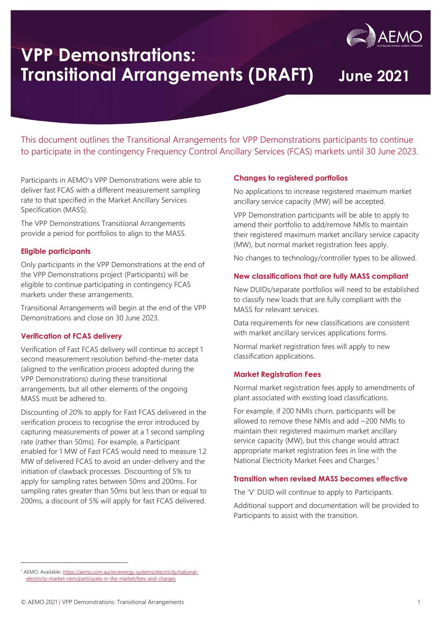

# **VPP Demonstrations: Transitional Arrangements (DRAFT) June 2021**

This document outlines the Transitional Arrangements for VPP Demonstrations participants to continue to participate in the contingency Frequency Control Ancillary Services (FCAS) markets until 30 June 2023.

Participants in AEMO's VPP Demonstrations were able to deliver fast FCAS with a different measurement sampling rate to that specified in the Market Ancillary Services Specification (MASS).

The VPP Demonstrations Transitional Arrangements provide a period for portfolios to align to the MASS.

## **Eligible participants**

Only participants in the VPP Demonstrations at the end of the VPP Demonstrations project (Participants) will be eligible to continue participating in contingency FCAS markets under these arrangements.

Transitional Arrangements will begin at the end of the VPP Demonstrations and close on 30 June 2023.

## **Verification of FCAS delivery**

Verification of Fast FCAS delivery will continue to accept 1 second measurement resolution behind-the-meter data (aligned to the verification process adopted during the VPP Demonstrations) during these transitional arrangements, but all other elements of the ongoing MASS must be adhered to.

Discounting of 20% to apply for Fast FCAS delivered in the verification process to recognise the error introduced by capturing measurements of power at a 1 second sampling rate (rather than 50ms). For example, a Participant enabled for 1 MW of Fast FCAS would need to measure 12 MW of delivered FCAS to avoid an under-delivery and the initiation of clawback processes. Discounting of 5% to apply for sampling rates between 50ms and 200ms. For sampling rates greater than 50ms but less than or equal to 200ms, a discount of 5% will apply for fast FCAS delivered.

## **Changes to registered portfolios**

No applications to increase registered maximum market ancillary service capacity (MW) will be accepted.

VPP Demonstration participants will be able to apply to amend their portfolio to add/remove NMIs to maintain their registered maximum market ancillary service capacity (MW), but normal market registration fees apply.

No changes to technology/controller types to be allowed.

## **New classifications that are fully MASS compliant**

New DUIDs/separate portfolios will need to be established to classify new loads that are fully compliant with the MASS for relevant services.

Data requirements for new classifications are consistent with market ancillary services applications forms.

Normal market registration fees will apply to new classification applications.

## **Market Registration Fees**

Normal market registration fees apply to amendments of plant associated with existing load classifications.

For example, if 200 NMIs churn, participants will be allowed to remove these NMIs and add ~200 NMIs to maintain their registered maximum market ancillary service capacity (MW), but this change would attract appropriate market registration fees in line with the National Electricity Market Fees and Charges.<sup>1</sup>

## **Transition when revised MASS becomes effective**

The 'V' DUID will continue to apply to Participants.

Additional support and documentation will be provided to Participants to assist with the transition.

<sup>1</sup> AEMO. Available[: https://aemo.com.au/en/energy-systems/electricity/national](https://aemo.com.au/en/energy-systems/electricity/national-electricity-market-nem/participate-in-the-market/fees-and-charges)[electricity-market-nem/participate-in-the-market/fees-and-charges](https://aemo.com.au/en/energy-systems/electricity/national-electricity-market-nem/participate-in-the-market/fees-and-charges)